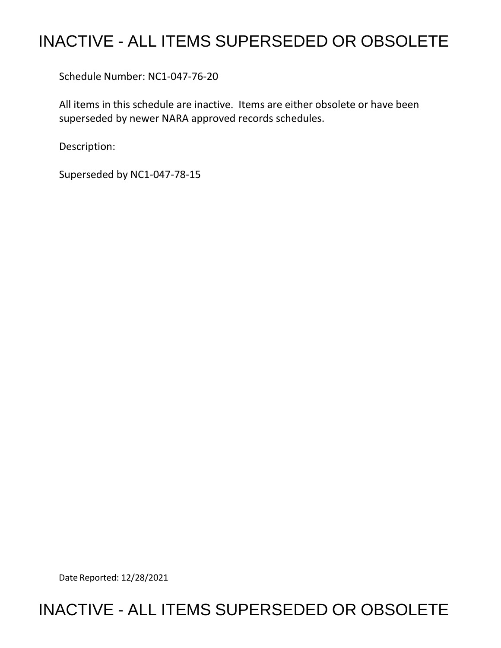# INACTIVE - ALL ITEMS SUPERSEDED OR OBSOLETE

Schedule Number: NC1-047-76-20

 All items in this schedule are inactive. Items are either obsolete or have been superseded by newer NARA approved records schedules.

Description:

Superseded by NC1-047-78-15

Date Reported: 12/28/2021

## INACTIVE - ALL ITEMS SUPERSEDED OR OBSOLETE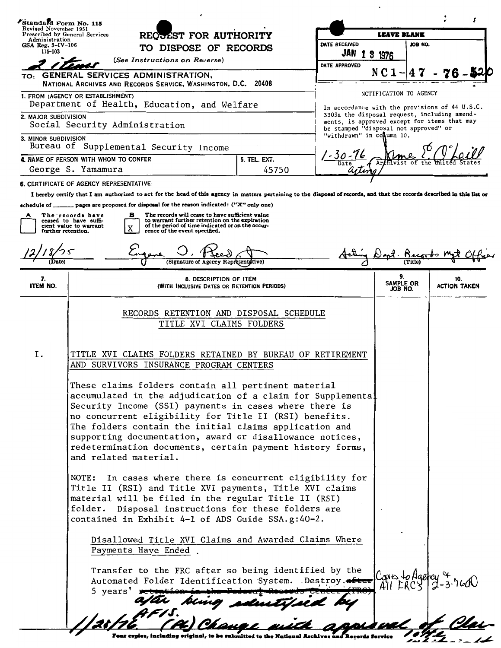|                                                              | Standard Form No. 115                                                                                                                                                                                                                                                                                                                                                                                                                                                                                                                                                                                                                                                                                                                                                                                                                                    |                                                      |                                                                                                                                       |                            |         |                            |
|--------------------------------------------------------------|----------------------------------------------------------------------------------------------------------------------------------------------------------------------------------------------------------------------------------------------------------------------------------------------------------------------------------------------------------------------------------------------------------------------------------------------------------------------------------------------------------------------------------------------------------------------------------------------------------------------------------------------------------------------------------------------------------------------------------------------------------------------------------------------------------------------------------------------------------|------------------------------------------------------|---------------------------------------------------------------------------------------------------------------------------------------|----------------------------|---------|----------------------------|
|                                                              | Revised November 1951<br>REQUEST FOR AUTHORITY<br>Prescribed by General Services                                                                                                                                                                                                                                                                                                                                                                                                                                                                                                                                                                                                                                                                                                                                                                         |                                                      | <b>LEAVE BLANK</b>                                                                                                                    |                            |         |                            |
| Administration<br>GSA Reg. 3-IV-106<br>TO DISPOSE OF RECORDS |                                                                                                                                                                                                                                                                                                                                                                                                                                                                                                                                                                                                                                                                                                                                                                                                                                                          |                                                      | DATE RECEIVED                                                                                                                         |                            | JOB NO. |                            |
| 115-103<br>(See Instructions on Reverse)                     |                                                                                                                                                                                                                                                                                                                                                                                                                                                                                                                                                                                                                                                                                                                                                                                                                                                          |                                                      | JAN 1 3 1976                                                                                                                          |                            |         |                            |
| TO:                                                          | GENERAL SERVICES ADMINISTRATION,                                                                                                                                                                                                                                                                                                                                                                                                                                                                                                                                                                                                                                                                                                                                                                                                                         |                                                      | DATE APPROVED                                                                                                                         | N C 1                      |         |                            |
|                                                              | NATIONAL ARCHIVES AND RECORDS SERVICE, WASHINGTON, D.C. 20408                                                                                                                                                                                                                                                                                                                                                                                                                                                                                                                                                                                                                                                                                                                                                                                            |                                                      |                                                                                                                                       |                            |         |                            |
|                                                              | 1. FROM (AGENCY OR ESTABLISHMENT)<br>Department of Health, Education, and Welfare                                                                                                                                                                                                                                                                                                                                                                                                                                                                                                                                                                                                                                                                                                                                                                        |                                                      | In accordance with the provisions of 44 U.S.C.                                                                                        | NOTIFICATION TO AGENCY     |         |                            |
| 2. MAJOR SUBDIVISION<br>Social Security Administration       |                                                                                                                                                                                                                                                                                                                                                                                                                                                                                                                                                                                                                                                                                                                                                                                                                                                          |                                                      | 3303a the disposal request, including amend-<br>ments, is approved except for items that may<br>be stamped "disposal not approved" or |                            |         |                            |
| 3. MINOR SUBDIVISION                                         | Bureau of Supplemental Security Income                                                                                                                                                                                                                                                                                                                                                                                                                                                                                                                                                                                                                                                                                                                                                                                                                   |                                                      | "withdrawn" in conumn 10.                                                                                                             |                            |         |                            |
|                                                              | 4. NAME OF PERSON WITH WHOM TO CONFER                                                                                                                                                                                                                                                                                                                                                                                                                                                                                                                                                                                                                                                                                                                                                                                                                    | 5. TEL. EXT.                                         |                                                                                                                                       |                            |         |                            |
|                                                              | George S. Yamamura                                                                                                                                                                                                                                                                                                                                                                                                                                                                                                                                                                                                                                                                                                                                                                                                                                       | 45750                                                |                                                                                                                                       |                            |         |                            |
|                                                              | 6. CERTIFICATE OF AGENCY REPRESENTATIVE:                                                                                                                                                                                                                                                                                                                                                                                                                                                                                                                                                                                                                                                                                                                                                                                                                 |                                                      |                                                                                                                                       |                            |         |                            |
|                                                              | I hereby certify that I am authorized to act for the head of this agency in matters pertaining to the disposal of records, and that the records described in this list or                                                                                                                                                                                                                                                                                                                                                                                                                                                                                                                                                                                                                                                                                |                                                      |                                                                                                                                       |                            |         |                            |
| further retention.<br>Date)                                  | to warrant further retention on the expiration<br>ceased to have suffi-<br>of the period of time indicated or on the occur-<br>cient value to warrant<br>X<br>rence of the event specified.<br>(Signature of Agency Representative)                                                                                                                                                                                                                                                                                                                                                                                                                                                                                                                                                                                                                      |                                                      |                                                                                                                                       |                            |         |                            |
| 7.<br><b>ITEM NO.</b>                                        | 8. DESCRIPTION OF ITEM<br>(WITH INCLUSIVE DATES OR RETENTION PERIODS)                                                                                                                                                                                                                                                                                                                                                                                                                                                                                                                                                                                                                                                                                                                                                                                    |                                                      |                                                                                                                                       | 9.<br>SAMPLE OR<br>JOB NO. |         | 10.<br><b>ACTION TAKEN</b> |
| Ι.                                                           | TITLE XVI CLAIMS FOLDERS RETAINED BY BUREAU OF RETIREMENT<br>AND SURVIVORS INSURANCE PROGRAM CENTERS<br>These claims folders contain all pertinent material<br>accumulated in the adjudication of a claim for Supplemental<br>Security Income (SSI) payments in cases where there is<br>no concurrent eligibility for Title II (RSI) benefits.<br>The folders contain the initial claims application and<br>supporting documentation, award or disallowance notices,<br>redetermination documents, certain payment history forms,<br>and related material.<br>In cases where there is concurrent eligibility for<br>NOTE:<br>Title II (RSI) and Title XVI payments, Title XVI claims<br>material will be filed in the regular Title II (RSI)<br>folder. Disposal instructions for these folders are<br>contained in Exhibit 4-1 of ADS Guide SSA.g:40-2. | Disallowed Title XVI Claims and Awarded Claims Where |                                                                                                                                       |                            |         |                            |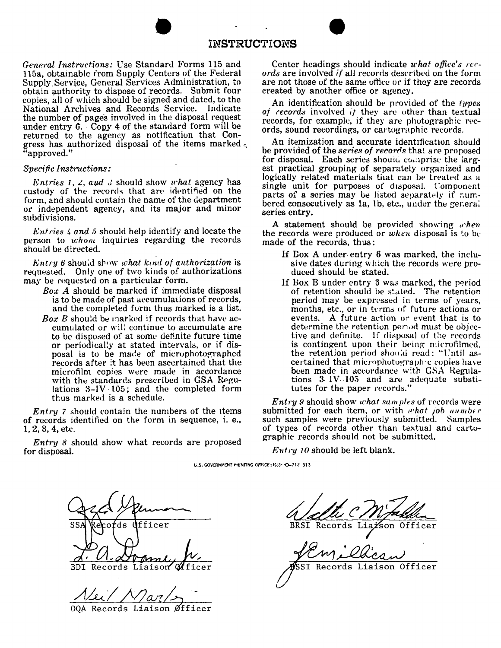### **INSTRUCTIONS**

*General Instructions:* Use Standard Forms 115 and 115a, obtainable from Supply Centers of the Federal Supply Service, General Services Administration, to obtain authority to dispose of records. Submit four copies, all of which should be signed and dated, to the National Archives and Records Service. Indicate the number of pages involved in the disposal request under entry  $6.$  Copy 4 of the standard form will be returned to the agency as notification that Congress has authorized disposal of the items marked *c,*  "approved."

#### Specific Instructions:

*Entries 1, 2, aud 3* should show *what* agency has custody of the records that are identified on the form, and should contain the name of the department or independent agency, and its major and minor subdivisions.

*L'atries 4 and 5* should help identify and locate the person to *whom* inquiries regarding the records should be d:rected.

Entry 6 should show what kind of authorization is requested. Only one of two kinds of authorizations may be requested on a particular form.

- *Box A* should be marked if immediate disposal is to be made of past accumulations of records, and the completed form thus marked is a list.
- Box B should be marked if records that have accumulated or will continue to accumulate are to be disposed of at some definite future time or periodical:y at stated intervals, or if disposal is to be made of microphotographed records after :t has been ascertained that the microfilm copies were made in accordance with the standards prescribed in GSA Regulations B-IV. l05; and the completed form thus marked is a schedule.

 $Entry$  7 should contain the numbers of the items of records identified on the form in sequence, i. e., 1, 2, 3, 4, etc.

Entry 8 should show what records are proposed for disposal.

Center headings should indicate what office's rec*ords* are involved *if* all records described on the form are not those of the same office or if they are records created by another office or agency.

An identification should be provided of the *types* of records involved if they are other than textual records, for example, if they are photographic records, sound recordings, or cartographic records.

An itemization and accurate identification should be provided of the *series of records* that are proposed for disposal. Each series should comprise the largest practical grouping of separately organized and logically related materials that can be treated as a single unit for purposes of disposal. Component parts of a series may be listed separately if  $num$ bered consecutively as 1a, 1b, etc., under the general series entry.

A statement should be provided showing *when* the records were produced or *when* disposal is to be made of the records, thus:

- If Dox A under- entry 6 was marked, the inclusive dates during which the records were produced should be stated.
- If Box B under entry 6 was marked, the period of retention should be stated. The retention period may be expressed in terms of years, months, etc., or in terms of future actions or events. A future action ur event that is to determine the retention period must be objective and definite. If disposal of the records is contingent upon their being microfilmed, the retention period should read: "Until asthe retained that microphotograph ic copies have been made in accordance with GSA Regulations  $3$  lV $\cdot$ 105 and are adequate substitutes for the paper records."

**Entry 9 should show what samples of records were** submitted for each item, or with *what job aumber* such samples were previously submitted. Samples of types of records other than textual and cartographic records should not be submitted.

 $Entry\ 10$  should be left blank.

U.S. GOVERNMENT FRINTING OFFICE: 1532-O-712-313

fficer ds

Records Liaison **BDI** Officer

ر رو/1

OQA Records Liaison Øfficer

**BRSI** Records Liazson Officer

SST Records Liaison Officer